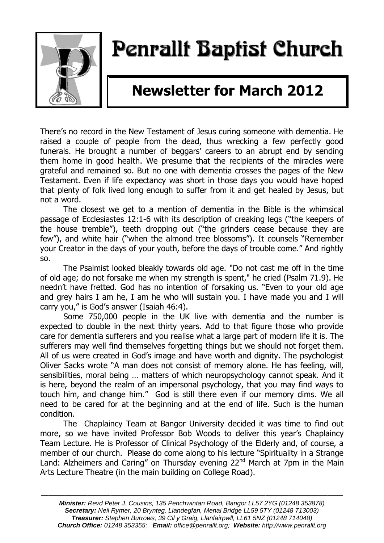

# Penrallt Baptist Church

# **Newsletter for March 2012**

There's no record in the New Testament of Jesus curing someone with dementia. He raised a couple of people from the dead, thus wrecking a few perfectly good funerals. He brought a number of beggars' careers to an abrupt end by sending them home in good health. We presume that the recipients of the miracles were grateful and remained so. But no one with dementia crosses the pages of the New Testament. Even if life expectancy was short in those days you would have hoped that plenty of folk lived long enough to suffer from it and get healed by Jesus, but not a word.

The closest we get to a mention of dementia in the Bible is the whimsical passage of Ecclesiastes 12:1-6 with its description of creaking legs ("the keepers of the house tremble"), teeth dropping out ("the grinders cease because they are few"), and white hair ("when the almond tree blossoms"). It counsels "Remember your Creator in the days of your youth, before the days of trouble come." And rightly so.

The Psalmist looked bleakly towards old age. "Do not cast me off in the time of old age; do not forsake me when my strength is spent," he cried (Psalm 71.9). He needn't have fretted. God has no intention of forsaking us. "Even to your old age and grey hairs I am he, I am he who will sustain you. I have made you and I will carry you," is God's answer (Isaiah 46:4).

Some 750,000 people in the UK live with dementia and the number is expected to double in the next thirty years. Add to that figure those who provide care for dementia sufferers and you realise what a large part of modern life it is. The sufferers may well find themselves forgetting things but we should not forget them. All of us were created in God's image and have worth and dignity. The psychologist Oliver Sacks wrote "A man does not consist of memory alone. He has feeling, will, sensibilities, moral being … matters of which neuropsychology cannot speak. And it is here, beyond the realm of an impersonal psychology, that you may find ways to touch him, and change him." God is still there even if our memory dims. We all need to be cared for at the beginning and at the end of life. Such is the human condition.

The Chaplaincy Team at Bangor University decided it was time to find out more, so we have invited Professor Bob Woods to deliver this year's Chaplaincy Team Lecture. He is Professor of Clinical Psychology of the Elderly and, of course, a member of our church. Please do come along to his lecture "Spirituality in a Strange Land: Alzheimers and Caring" on Thursday evening 22<sup>nd</sup> March at 7pm in the Main Arts Lecture Theatre (in the main building on College Road).

———————————————————————————————————————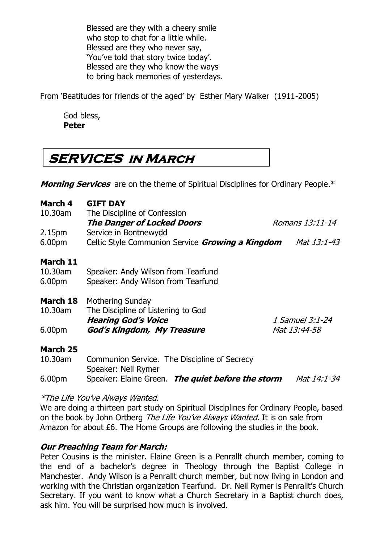Blessed are they with a cheery smile who stop to chat for a little while. Blessed are they who never say, 'You've told that story twice today'. Blessed are they who know the ways to bring back memories of yesterdays.

From 'Beatitudes for friends of the aged' by Esther Mary Walker (1911-2005)

God bless, **Peter**

# **SERVICES in March**

**Morning Services** are on the theme of Spiritual Disciplines for Ordinary People.\*

| March 4<br>10.30am | <b>GIFT DAY</b><br>The Discipline of Confession  |                 |
|--------------------|--------------------------------------------------|-----------------|
|                    | <b>The Danger of Locked Doors</b>                | Romans 13:11-14 |
| 2.15 <sub>pm</sub> | Service in Bontnewydd                            |                 |
| 6.00pm             | Celtic Style Communion Service Growing a Kingdom | Mat 13:1-43     |
| March 11           |                                                  |                 |
| 10.30am            | Speaker: Andy Wilson from Tearfund               |                 |
| 6.00 <sub>pm</sub> | Speaker: Andy Wilson from Tearfund               |                 |
| March 18           | <b>Mothering Sunday</b>                          |                 |
| 10.30am            | The Discipline of Listening to God               |                 |
|                    | <b>Hearing God's Voice</b>                       | 1 Samuel 3:1-24 |
| 6.00 <sub>pm</sub> | God's Kingdom, My Treasure                       | Mat 13:44-58    |
| <b>March 25</b>    |                                                  |                 |
| 10.30am            | Communion Service. The Discipline of Secrecy     |                 |

Speaker: Neil Rymer

6.00pm Speaker: Elaine Green. **The quiet before the storm** Mat 14:1-34

#### \*The Life You've Always Wanted.

We are doing a thirteen part study on Spiritual Disciplines for Ordinary People, based on the book by John Ortberg The Life You've Always Wanted. It is on sale from Amazon for about £6. The Home Groups are following the studies in the book.

#### **Our Preaching Team for March:**

Peter Cousins is the minister. Elaine Green is a Penrallt church member, coming to the end of a bachelor's degree in Theology through the Baptist College in Manchester. Andy Wilson is a Penrallt church member, but now living in London and working with the Christian organization Tearfund. Dr. Neil Rymer is Penrallt's Church Secretary. If you want to know what a Church Secretary in a Baptist church does, ask him. You will be surprised how much is involved.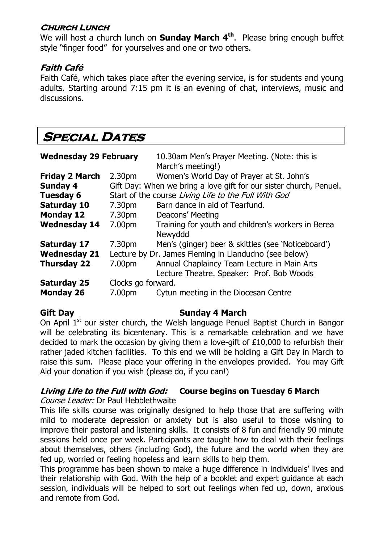#### **Church Lunch**

We will host a church lunch on **Sunday March 4th**. Please bring enough buffet style "finger food" for yourselves and one or two others.

### **Faith Café**

Faith Café, which takes place after the evening service, is for students and young adults. Starting around 7:15 pm it is an evening of chat, interviews, music and discussions.

# **Special Dates**

| <b>Wednesday 29 February</b> |                                                       | 10.30am Men's Prayer Meeting. (Note: this is<br>March's meeting!)                        |  |  |
|------------------------------|-------------------------------------------------------|------------------------------------------------------------------------------------------|--|--|
| <b>Friday 2 March</b>        | 2.30 <sub>pm</sub>                                    | Women's World Day of Prayer at St. John's                                                |  |  |
| <b>Sunday 4</b>              |                                                       | Gift Day: When we bring a love gift for our sister church, Penuel.                       |  |  |
| <b>Tuesday 6</b>             | Start of the course Living Life to the Full With God  |                                                                                          |  |  |
| <b>Saturday 10</b>           | 7.30pm                                                | Barn dance in aid of Tearfund.                                                           |  |  |
| <b>Monday 12</b>             | 7.30pm                                                | Deacons' Meeting                                                                         |  |  |
| <b>Wednesday 14</b>          | 7.00pm                                                | Training for youth and children's workers in Berea<br>Newyddd                            |  |  |
| <b>Saturday 17</b>           | 7.30pm                                                | Men's (ginger) beer & skittles (see 'Noticeboard')                                       |  |  |
| <b>Wednesday 21</b>          | Lecture by Dr. James Fleming in Llandudno (see below) |                                                                                          |  |  |
| <b>Thursday 22</b>           | 7.00pm                                                | Annual Chaplaincy Team Lecture in Main Arts<br>Lecture Theatre. Speaker: Prof. Bob Woods |  |  |
| <b>Saturday 25</b>           | Clocks go forward.                                    |                                                                                          |  |  |
| <b>Monday 26</b>             | 7.00pm                                                | Cytun meeting in the Diocesan Centre                                                     |  |  |

#### Gift Day **Sunday 4 March**

On April  $1<sup>st</sup>$  our sister church, the Welsh language Penuel Baptist Church in Bangor will be celebrating its bicentenary. This is a remarkable celebration and we have decided to mark the occasion by giving them a love-gift of £10,000 to refurbish their rather jaded kitchen facilities. To this end we will be holding a Gift Day in March to raise this sum. Please place your offering in the envelopes provided. You may Gift Aid your donation if you wish (please do, if you can!)

#### **Living Life to the Full with God: Course begins on Tuesday 6 March**

Course Leader: Dr Paul Hebblethwaite

This life skills course was originally designed to help those that are suffering with mild to moderate depression or anxiety but is also useful to those wishing to improve their pastoral and listening skills. It consists of 8 fun and friendly 90 minute sessions held once per week. Participants are taught how to deal with their feelings about themselves, others (including God), the future and the world when they are fed up, worried or feeling hopeless and learn skills to help them.

This programme has been shown to make a huge difference in individuals' lives and their relationship with God. With the help of a booklet and expert guidance at each session, individuals will be helped to sort out feelings when fed up, down, anxious and remote from God.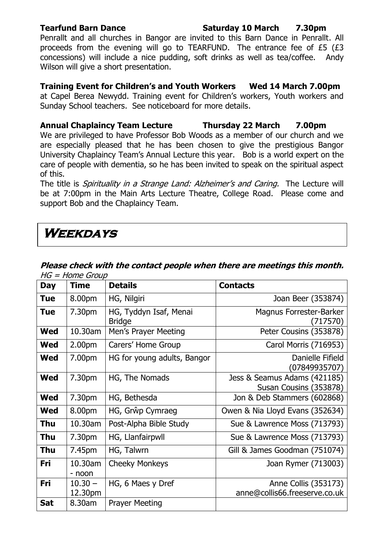**Tearfund Barn Dance Saturday 10 March 7.30pm**

Penrallt and all churches in Bangor are invited to this Barn Dance in Penrallt. All proceeds from the evening will go to TEARFUND. The entrance fee of £5 (£3 concessions) will include a nice pudding, soft drinks as well as tea/coffee. Andy Wilson will give a short presentation.

#### **Training Event for Children's and Youth Workers Wed 14 March 7.00pm**

at Capel Berea Newydd. Training event for Children's workers, Youth workers and Sunday School teachers. See noticeboard for more details.

**Annual Chaplaincy Team Lecture Thursday 22 March 7.00pm** We are privileged to have Professor Bob Woods as a member of our church and we are especially pleased that he has been chosen to give the prestigious Bangor University Chaplaincy Team's Annual Lecture this year. Bob is a world expert on the care of people with dementia, so he has been invited to speak on the spiritual aspect of this.

The title is *Spirituality in a Strange Land: Alzheimer's and Caring*. The Lecture will be at 7:00pm in the Main Arts Lecture Theatre, College Road. Please come and support Bob and the Chaplaincy Team.

# **Weekdays**

| <b>Day</b> | <b>Time</b>          | <b>Details</b>                          | <b>Contacts</b>                                        |
|------------|----------------------|-----------------------------------------|--------------------------------------------------------|
| <b>Tue</b> | 8.00pm               | HG, Nilgiri                             | Joan Beer (353874)                                     |
| <b>Tue</b> | 7.30pm               | HG, Tyddyn Isaf, Menai<br><b>Bridge</b> | Magnus Forrester-Barker<br>(717570)                    |
| <b>Wed</b> | 10.30am              | Men's Prayer Meeting                    | Peter Cousins (353878)                                 |
| Wed        | 2.00pm               | Carers' Home Group                      | Carol Morris (716953)                                  |
| Wed        | 7.00pm               | HG for young adults, Bangor             | Danielle Fifield<br>(07849935707)                      |
| <b>Wed</b> | 7.30pm               | HG, The Nomads                          | Jess & Seamus Adams (421185)<br>Susan Cousins (353878) |
| <b>Wed</b> | 7.30pm               | HG, Bethesda                            | Jon & Deb Stammers (602868)                            |
| <b>Wed</b> | 8.00pm               | HG, Grŵp Cymraeg                        | Owen & Nia Lloyd Evans (352634)                        |
| <b>Thu</b> | 10.30am              | Post-Alpha Bible Study                  | Sue & Lawrence Moss (713793)                           |
| Thu        | 7.30pm               | HG, Llanfairpwll                        | Sue & Lawrence Moss (713793)                           |
| <b>Thu</b> | 7.45pm               | HG, Talwrn                              | Gill & James Goodman (751074)                          |
| Fri        | 10.30am<br>- noon    | <b>Cheeky Monkeys</b>                   | Joan Rymer (713003)                                    |
| Fri        | $10.30 -$<br>12.30pm | HG, 6 Maes y Dref                       | Anne Collis (353173)<br>anne@collis66.freeserve.co.uk  |
| <b>Sat</b> | 8.30am               | <b>Prayer Meeting</b>                   |                                                        |

#### **Please check with the contact people when there are meetings this month.**  HG = Home Group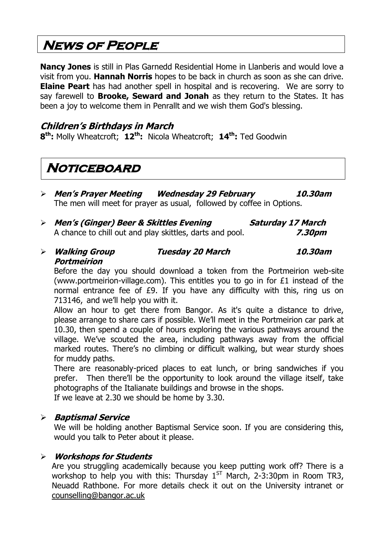# **News of People**

**Nancy Jones** is still in Plas Garnedd Residential Home in Llanberis and would love a visit from you. **Hannah Norris** hopes to be back in church as soon as she can drive. **Elaine Peart** has had another spell in hospital and is recovering. We are sorry to say farewell to **Brooke, Seward and Jonah** as they return to the States. It has been a joy to welcome them in Penrallt and we wish them God's blessing.

#### **Children's Birthdays in March**

**8 th:** Molly Wheatcroft; **12th:** Nicola Wheatcroft; **14th:** Ted Goodwin

# **Noticeboard**

- **Men's Prayer Meeting Wednesday 29 February 10.30am** The men will meet for prayer as usual, followed by coffee in Options.
- **Men's (Ginger) Beer & Skittles Evening Saturday 17 March** A chance to chill out and play skittles, darts and pool. **7.30pm**
- **Walking Group Tuesday 20 March 10.30am Portmeirion**

Before the day you should download a token from the Portmeirion web-site (www.portmeirion-village.com). This entitles you to go in for £1 instead of the normal entrance fee of £9. If you have any difficulty with this, ring us on 713146, and we'll help you with it.

Allow an hour to get there from Bangor. As it's quite a distance to drive, please arrange to share cars if possible. We'll meet in the Portmeirion car park at 10.30, then spend a couple of hours exploring the various pathways around the village. We've scouted the area, including pathways away from the official marked routes. There's no climbing or difficult walking, but wear sturdy shoes for muddy paths.

There are reasonably-priced places to eat lunch, or bring sandwiches if you prefer. Then there'll be the opportunity to look around the village itself, take photographs of the Italianate buildings and browse in the shops.

If we leave at 2.30 we should be home by 3.30.

#### **Baptismal Service**

We will be holding another Baptismal Service soon. If you are considering this, would you talk to Peter about it please.

#### **Workshops for Students**

Are you struggling academically because you keep putting work off? There is a workshop to help you with this: Thursday  $1^{ST}$  March, 2-3:30pm in Room TR3, Neuadd Rathbone. For more details check it out on the University intranet or [counselling@bangor.ac.uk](mailto:counselling@bangor.ac.uk)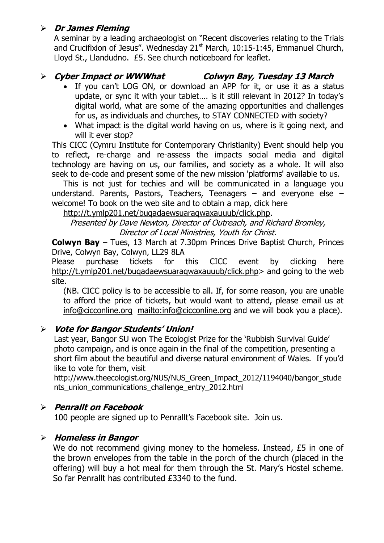#### **Dr James Fleming**

A seminar by a leading archaeologist on "Recent discoveries relating to the Trials and Crucifixion of Jesus". Wednesday  $21<sup>st</sup>$  March, 10:15-1:45, Emmanuel Church, Lloyd St., Llandudno. £5. See church noticeboard for leaflet.

### **Cyber Impact or WWWhat Colwyn Bay, Tuesday 13 March**

- If you can't LOG ON, or download an APP for it, or use it as a status update, or sync it with your tablet…. is it still relevant in 2012? In today's digital world, what are some of the amazing opportunities and challenges for us, as individuals and churches, to STAY CONNECTED with society?
- What impact is the digital world having on us, where is it going next, and will it ever stop?

This CICC (Cymru Institute for Contemporary Christianity) Event should help you to reflect, re-charge and re-assess the impacts social media and digital technology are having on us, our families, and society as a whole. It will also seek to de-code and present some of the new mission 'platforms' available to us.

This is not just for techies and will be communicated in a language you understand. Parents, Pastors, Teachers, Teenagers – and everyone else – welcome! To book on the web site and to obtain a map, click here

[http://t.ymlp201.net/buqadaewsuaraqwaxauuub/click.php.](http://t.ymlp201.net/buqadaewsuaraqwaxauuub/click.php)

Presented by Dave Newton, Director of Outreach, and Richard Bromley, Director of Local Ministries, Youth for Christ.

**Colwyn Bay** – Tues, 13 March at 7.30pm Princes Drive Baptist Church, Princes Drive, Colwyn Bay, Colwyn, LL29 8LA

Please purchase tickets for this CICC event by clicking here http://t.ymlp201.net/bugadaewsuaragwaxauuub/click.php> and going to the web site.

(NB. CICC policy is to be accessible to all. If, for some reason, you are unable to afford the price of tickets, but would want to attend, please email us at [info@cicconline.org](mailto:info@cicconline.org) <mailto:info@cicconline.org> and we will book you a place).

### **Vote for Bangor Students' Union!**

Last year, Bangor SU won The Ecologist Prize for the 'Rubbish Survival Guide' photo campaign, and is once again in the final of the competition, presenting a short film about the beautiful and diverse natural environment of Wales. If you'd like to vote for them, visit

http://www.theecologist.org/NUS/NUS Green\_Impact\_2012/1194040/bangor\_stude [nts\\_union\\_communications\\_challenge\\_entry\\_2012.html](http://www.theecologist.org/NUS/NUS_Green_Impact_2012/1194040/bangor_students_union_communications_challenge_entry_2012.html)

### **Penrallt on Facebook**

100 people are signed up to Penrallt's Facebook site. Join us.

#### **Homeless in Bangor**

We do not recommend giving money to the homeless. Instead, £5 in one of the brown envelopes from the table in the porch of the church (placed in the offering) will buy a hot meal for them through the St. Mary's Hostel scheme. So far Penrallt has contributed £3340 to the fund.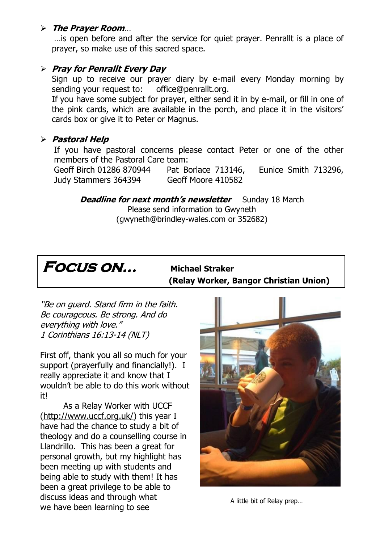#### **The Prayer Room**…

…is open before and after the service for quiet prayer. Penrallt is a place of prayer, so make use of this sacred space.

#### **Pray for Penrallt Every Day**

Sign up to receive our prayer diary by e-mail every Monday morning by sending your request to: [office@penrallt.org.](mailto:office@penrallt.org)

If you have some subject for prayer, either send it in by e-mail, or fill in one of the pink cards, which are available in the porch, and place it in the visitors' cards box or give it to Peter or Magnus.

#### **Pastoral Help**

If you have pastoral concerns please contact Peter or one of the other members of the Pastoral Care team:

Geoff Birch 01286 870944 Pat Borlace 713146, Eunice Smith 713296, Judy Stammers 364394 Geoff Moore 410582

**Deadline for next month's newsletter** Sunday 18 March Please send information to Gwyneth [\(gwyneth@brindley-wales.com](mailto:gwyneth@brindley-wales.com) or 352682)



 **(Relay Worker, Bangor Christian Union)**

"Be on guard. Stand firm in the faith. Be courageous. Be strong. And do everything with love." 1 Corinthians 16:13-14 (NLT)

First off, thank you all so much for your support (prayerfully and financially!). I really appreciate it and know that I wouldn't be able to do this work without it!

As a Relay Worker with UCCF [\(http://www.uccf.org.uk/\)](http://www.uccf.org.uk/) this year I have had the chance to study a bit of theology and do a counselling course in Llandrillo. This has been a great for personal growth, but my highlight has been meeting up with students and being able to study with them! It has been a great privilege to be able to discuss ideas and through what we have been learning to see



A little bit of Relay prep…